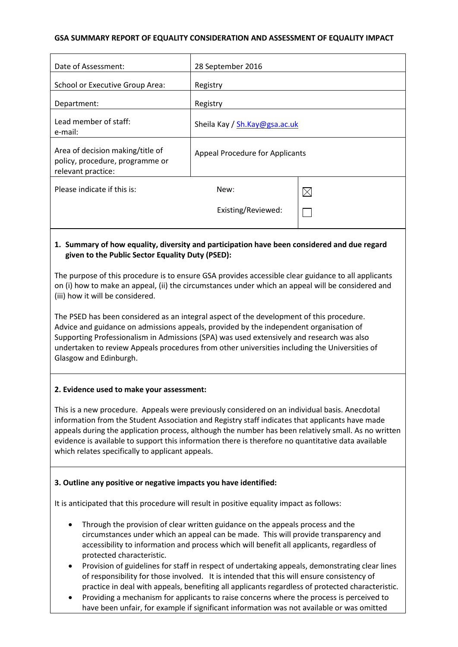## **GSA SUMMARY REPORT OF EQUALITY CONSIDERATION AND ASSESSMENT OF EQUALITY IMPACT**

| Date of Assessment:                                                                                                                                                                                                                                                                                                                                                                                                                                                                         | 28 September 2016                      |             |
|---------------------------------------------------------------------------------------------------------------------------------------------------------------------------------------------------------------------------------------------------------------------------------------------------------------------------------------------------------------------------------------------------------------------------------------------------------------------------------------------|----------------------------------------|-------------|
| School or Executive Group Area:                                                                                                                                                                                                                                                                                                                                                                                                                                                             | Registry                               |             |
| Department:                                                                                                                                                                                                                                                                                                                                                                                                                                                                                 | Registry                               |             |
| Lead member of staff:<br>e-mail:                                                                                                                                                                                                                                                                                                                                                                                                                                                            | Sheila Kay / Sh.Kay@gsa.ac.uk          |             |
| Area of decision making/title of<br>policy, procedure, programme or<br>relevant practice:                                                                                                                                                                                                                                                                                                                                                                                                   | <b>Appeal Procedure for Applicants</b> |             |
| Please indicate if this is:                                                                                                                                                                                                                                                                                                                                                                                                                                                                 | New:                                   | $\boxtimes$ |
|                                                                                                                                                                                                                                                                                                                                                                                                                                                                                             | Existing/Reviewed:                     |             |
| 1. Summary of how equality, diversity and participation have been considered and due regard<br>given to the Public Sector Equality Duty (PSED):<br>The purpose of this procedure is to ensure GSA provides accessible clear guidance to all applicants<br>on (i) how to make an appeal, (ii) the circumstances under which an appeal will be considered and<br>(iii) how it will be considered.<br>The PSED has been considered as an integral aspect of the development of this procedure. |                                        |             |
| Advice and guidance on admissions appeals, provided by the independent organisation of<br>Supporting Professionalism in Admissions (SPA) was used extensively and research was also<br>undertaken to review Appeals procedures from other universities including the Universities of<br>Glasgow and Edinburgh.                                                                                                                                                                              |                                        |             |
| 2. Evidence used to make your assessment:                                                                                                                                                                                                                                                                                                                                                                                                                                                   |                                        |             |
| This is a new procedure. Appeals were previously considered on an individual basis. Anecdotal<br>information from the Student Association and Registry staff indicates that applicants have made<br>appeals during the application process, although the number has been relatively small. As no written<br>evidence is available to support this information there is therefore no quantitative data available<br>which relates specifically to applicant appeals.                         |                                        |             |

# **3. Outline any positive or negative impacts you have identified:**

It is anticipated that this procedure will result in positive equality impact as follows:

- Through the provision of clear written guidance on the appeals process and the circumstances under which an appeal can be made. This will provide transparency and accessibility to information and process which will benefit all applicants, regardless of protected characteristic.
- Provision of guidelines for staff in respect of undertaking appeals, demonstrating clear lines of responsibility for those involved. It is intended that this will ensure consistency of practice in deal with appeals, benefiting all applicants regardless of protected characteristic.
- Providing a mechanism for applicants to raise concerns where the process is perceived to have been unfair, for example if significant information was not available or was omitted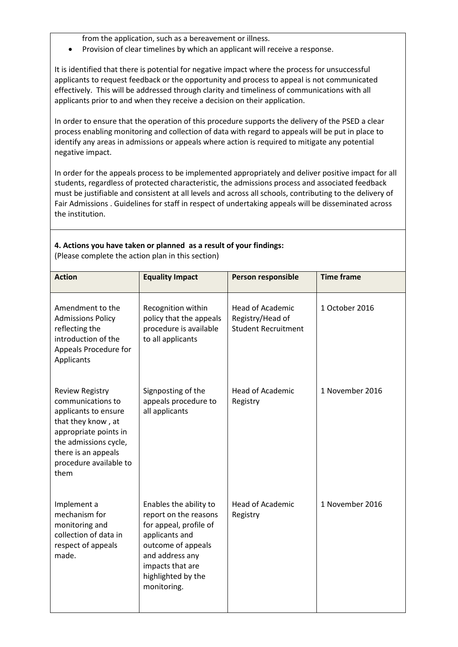from the application, such as a bereavement or illness.

• Provision of clear timelines by which an applicant will receive a response.

It is identified that there is potential for negative impact where the process for unsuccessful applicants to request feedback or the opportunity and process to appeal is not communicated effectively. This will be addressed through clarity and timeliness of communications with all applicants prior to and when they receive a decision on their application.

In order to ensure that the operation of this procedure supports the delivery of the PSED a clear process enabling monitoring and collection of data with regard to appeals will be put in place to identify any areas in admissions or appeals where action is required to mitigate any potential negative impact.

In order for the appeals process to be implemented appropriately and deliver positive impact for all students, regardless of protected characteristic, the admissions process and associated feedback must be justifiable and consistent at all levels and across all schools, contributing to the delivery of Fair Admissions . Guidelines for staff in respect of undertaking appeals will be disseminated across the institution.

## **4. Actions you have taken or planned as a result of your findings:**

(Please complete the action plan in this section)

| <b>Action</b>                                                                                                                                                                                        | <b>Equality Impact</b>                                                                                                                                                                        | <b>Person responsible</b>                                                 | <b>Time frame</b> |
|------------------------------------------------------------------------------------------------------------------------------------------------------------------------------------------------------|-----------------------------------------------------------------------------------------------------------------------------------------------------------------------------------------------|---------------------------------------------------------------------------|-------------------|
| Amendment to the<br><b>Admissions Policy</b><br>reflecting the<br>introduction of the<br>Appeals Procedure for<br>Applicants                                                                         | Recognition within<br>policy that the appeals<br>procedure is available<br>to all applicants                                                                                                  | <b>Head of Academic</b><br>Registry/Head of<br><b>Student Recruitment</b> | 1 October 2016    |
| <b>Review Registry</b><br>communications to<br>applicants to ensure<br>that they know, at<br>appropriate points in<br>the admissions cycle,<br>there is an appeals<br>procedure available to<br>them | Signposting of the<br>appeals procedure to<br>all applicants                                                                                                                                  | <b>Head of Academic</b><br>Registry                                       | 1 November 2016   |
| Implement a<br>mechanism for<br>monitoring and<br>collection of data in<br>respect of appeals<br>made.                                                                                               | Enables the ability to<br>report on the reasons<br>for appeal, profile of<br>applicants and<br>outcome of appeals<br>and address any<br>impacts that are<br>highlighted by the<br>monitoring. | <b>Head of Academic</b><br>Registry                                       | 1 November 2016   |